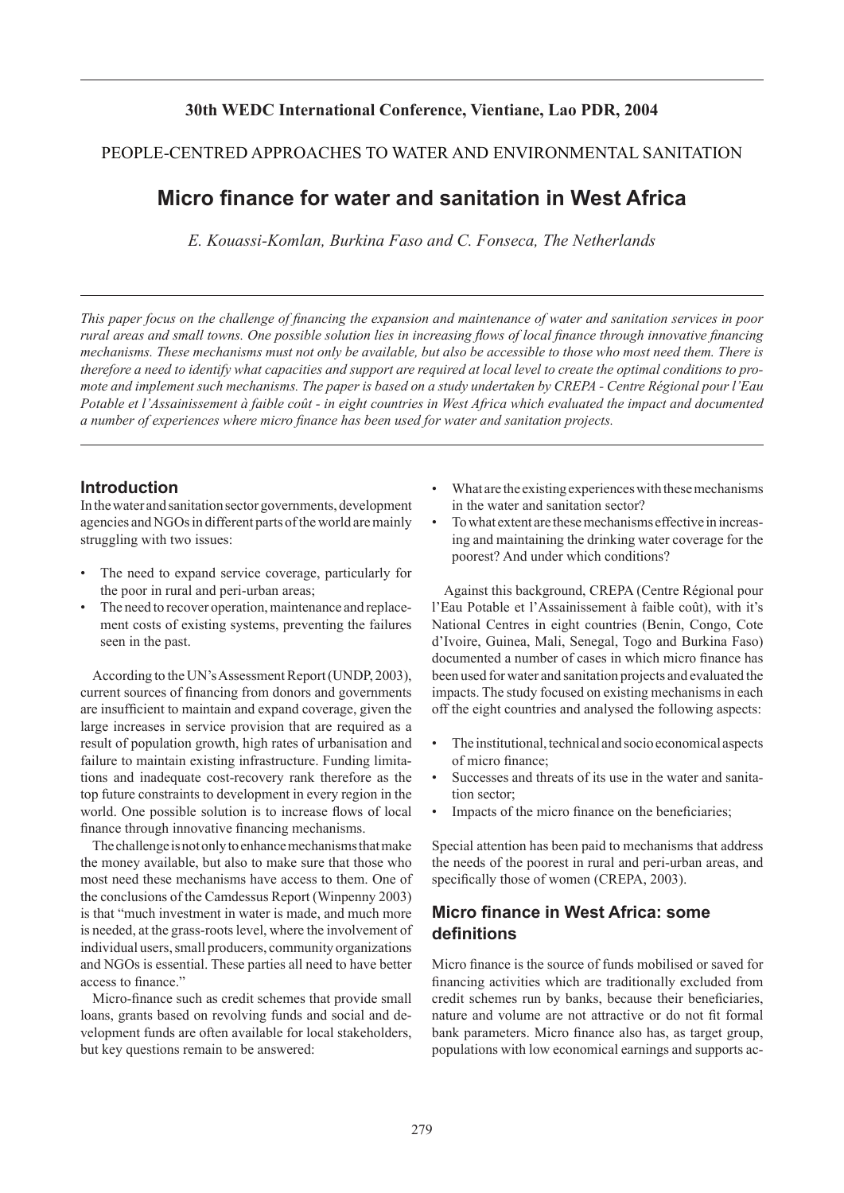## **30th WEDC International Conference, Vientiane, Lao PDR, 2004**

### PEOPLE-CENTRED APPROACHES TO WATER AND ENVIRONMENTAL SANITATION

# **Micro finance for water and sanitation in West Africa**

*E. Kouassi-Komlan, Burkina Faso and C. Fonseca, The Netherlands*

*This paper focus on the challenge of financing the expansion and maintenance of water and sanitation services in poor rural areas and small towns. One possible solution lies in increasing flows of local finance through innovative financing mechanisms. These mechanisms must not only be available, but also be accessible to those who most need them. There is therefore a need to identify what capacities and support are required at local level to create the optimal conditions to promote and implement such mechanisms. The paper is based on a study undertaken by CREPA - Centre Régional pour l'Eau Potable et l'Assainissement à faible coût - in eight countries in West Africa which evaluated the impact and documented a number of experiences where micro finance has been used for water and sanitation projects.*

### **Introduction**

In the water and sanitation sector governments, development agencies and NGOs in different parts of the world are mainly struggling with two issues:

- The need to expand service coverage, particularly for the poor in rural and peri-urban areas;
- The need to recover operation, maintenance and replacement costs of existing systems, preventing the failures seen in the past.

According to the UN's Assessment Report (UNDP, 2003), current sources of financing from donors and governments are insufficient to maintain and expand coverage, given the large increases in service provision that are required as a result of population growth, high rates of urbanisation and failure to maintain existing infrastructure. Funding limitations and inadequate cost-recovery rank therefore as the top future constraints to development in every region in the world. One possible solution is to increase flows of local finance through innovative financing mechanisms.

The challenge is not only to enhance mechanisms that make the money available, but also to make sure that those who most need these mechanisms have access to them. One of the conclusions of the Camdessus Report (Winpenny 2003) is that "much investment in water is made, and much more is needed, at the grass-roots level, where the involvement of individual users, small producers, community organizations and NGOs is essential. These parties all need to have better access to finance."

Micro-finance such as credit schemes that provide small loans, grants based on revolving funds and social and development funds are often available for local stakeholders, but key questions remain to be answered:

- What are the existing experiences with these mechanisms in the water and sanitation sector?
- To what extent are these mechanisms effective in increasing and maintaining the drinking water coverage for the poorest? And under which conditions?

Against this background, CREPA (Centre Régional pour l'Eau Potable et l'Assainissement à faible coût), with it's National Centres in eight countries (Benin, Congo, Cote d'Ivoire, Guinea, Mali, Senegal, Togo and Burkina Faso) documented a number of cases in which micro finance has been used for water and sanitation projects and evaluated the impacts. The study focused on existing mechanisms in each off the eight countries and analysed the following aspects:

- The institutional, technical and socio economical aspects of micro finance;
- Successes and threats of its use in the water and sanitation sector;
- Impacts of the micro finance on the beneficiaries;

Special attention has been paid to mechanisms that address the needs of the poorest in rural and peri-urban areas, and specifically those of women (CREPA, 2003).

## **Micro finance in West Africa: some definitions**

Micro finance is the source of funds mobilised or saved for financing activities which are traditionally excluded from credit schemes run by banks, because their beneficiaries, nature and volume are not attractive or do not fit formal bank parameters. Micro finance also has, as target group, populations with low economical earnings and supports ac-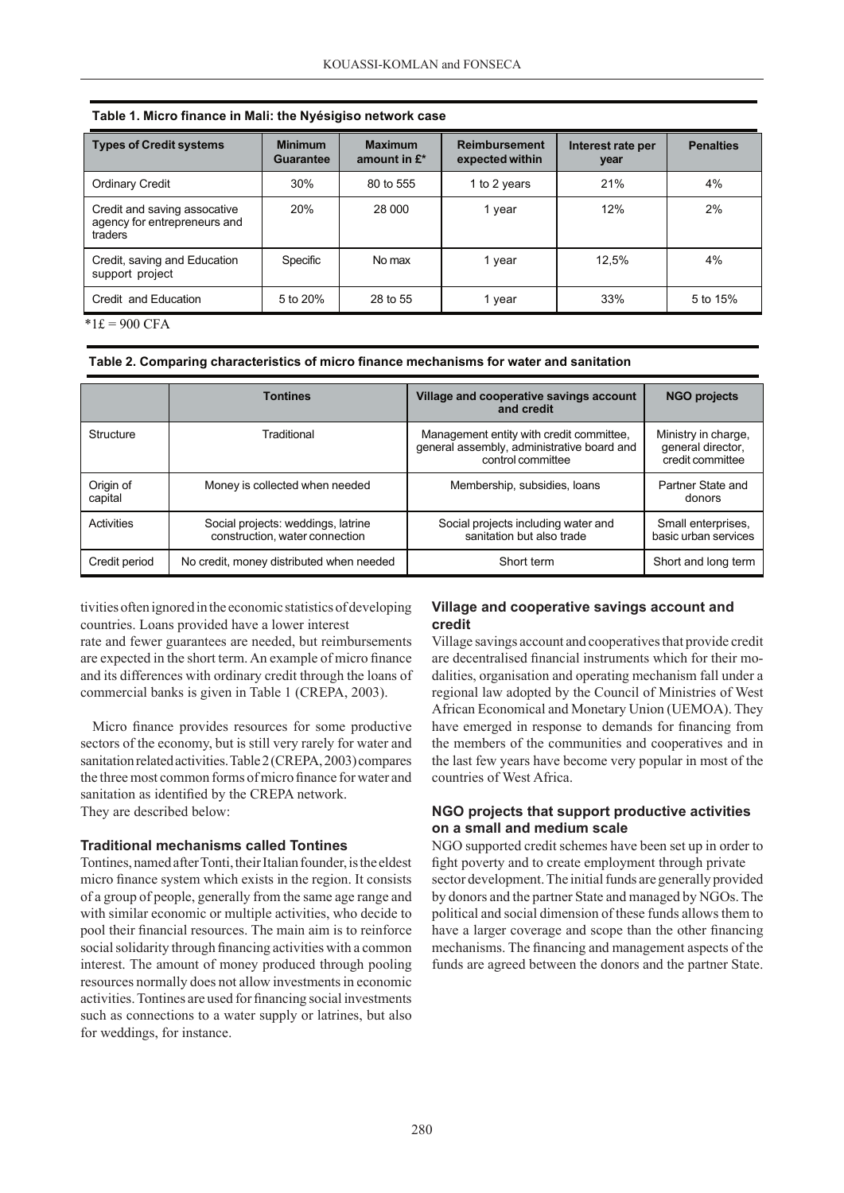| <b>Types of Credit systems</b>                                          | <b>Minimum</b><br><b>Guarantee</b> | <b>Maximum</b><br>amount in $E^*$ | <b>Reimbursement</b><br>expected within | Interest rate per<br>year | <b>Penalties</b> |
|-------------------------------------------------------------------------|------------------------------------|-----------------------------------|-----------------------------------------|---------------------------|------------------|
| Ordinary Credit                                                         | 30%                                | 80 to 555                         | 1 to 2 years                            | 21%                       | 4%               |
| Credit and saving assocative<br>agency for entrepreneurs and<br>traders | 20%                                | 28 000                            | 1 year                                  | 12%                       | 2%               |
| Credit, saving and Education<br>support project                         | Specific                           | No max                            | 1 year                                  | 12,5%                     | 4%               |
| Credit and Education                                                    | 5 to 20%                           | 28 to 55                          | 1 year                                  | 33%                       | 5 to 15%         |

|  |  |  |  |  | Table 1. Micro finance in Mali: the Nyésigiso network case |  |  |
|--|--|--|--|--|------------------------------------------------------------|--|--|
|--|--|--|--|--|------------------------------------------------------------|--|--|

 $*1£ = 900$  CFA

**Table 2. Comparing characteristics of micro finance mechanisms for water and sanitation**

|                      | <b>Tontines</b>                                                      | Village and cooperative savings account<br>and credit                                                       | <b>NGO projects</b>                                          |
|----------------------|----------------------------------------------------------------------|-------------------------------------------------------------------------------------------------------------|--------------------------------------------------------------|
| Structure            | Traditional                                                          | Management entity with credit committee,<br>general assembly, administrative board and<br>control committee | Ministry in charge,<br>general director,<br>credit committee |
| Origin of<br>capital | Money is collected when needed                                       | Membership, subsidies, loans                                                                                | Partner State and<br>donors                                  |
| Activities           | Social projects: weddings, latrine<br>construction, water connection | Social projects including water and<br>sanitation but also trade                                            | Small enterprises.<br>basic urban services                   |
| Credit period        | No credit, money distributed when needed                             | Short term                                                                                                  | Short and long term                                          |

tivities often ignored in the economic statistics of developing countries. Loans provided have a lower interest

rate and fewer guarantees are needed, but reimbursements are expected in the short term. An example of micro finance and its differences with ordinary credit through the loans of commercial banks is given in Table 1 (CREPA, 2003).

Micro finance provides resources for some productive sectors of the economy, but is still very rarely for water and sanitation related activities. Table 2 (CREPA, 2003) compares the three most common forms of micro finance for water and sanitation as identified by the CREPA network. They are described below:

#### **Traditional mechanisms called Tontines**

Tontines, named after Tonti, their Italian founder, is the eldest micro finance system which exists in the region. It consists of a group of people, generally from the same age range and with similar economic or multiple activities, who decide to pool their financial resources. The main aim is to reinforce social solidarity through financing activities with a common interest. The amount of money produced through pooling resources normally does not allow investments in economic activities. Tontines are used for financing social investments such as connections to a water supply or latrines, but also for weddings, for instance.

### **Village and cooperative savings account and credit**

Village savings account and cooperatives that provide credit are decentralised financial instruments which for their modalities, organisation and operating mechanism fall under a regional law adopted by the Council of Ministries of West African Economical and Monetary Union (UEMOA). They have emerged in response to demands for financing from the members of the communities and cooperatives and in the last few years have become very popular in most of the countries of West Africa.

#### **NGO projects that support productive activities on a small and medium scale**

NGO supported credit schemes have been set up in order to fight poverty and to create employment through private sector development. The initial funds are generally provided by donors and the partner State and managed by NGOs. The political and social dimension of these funds allows them to have a larger coverage and scope than the other financing mechanisms. The financing and management aspects of the funds are agreed between the donors and the partner State.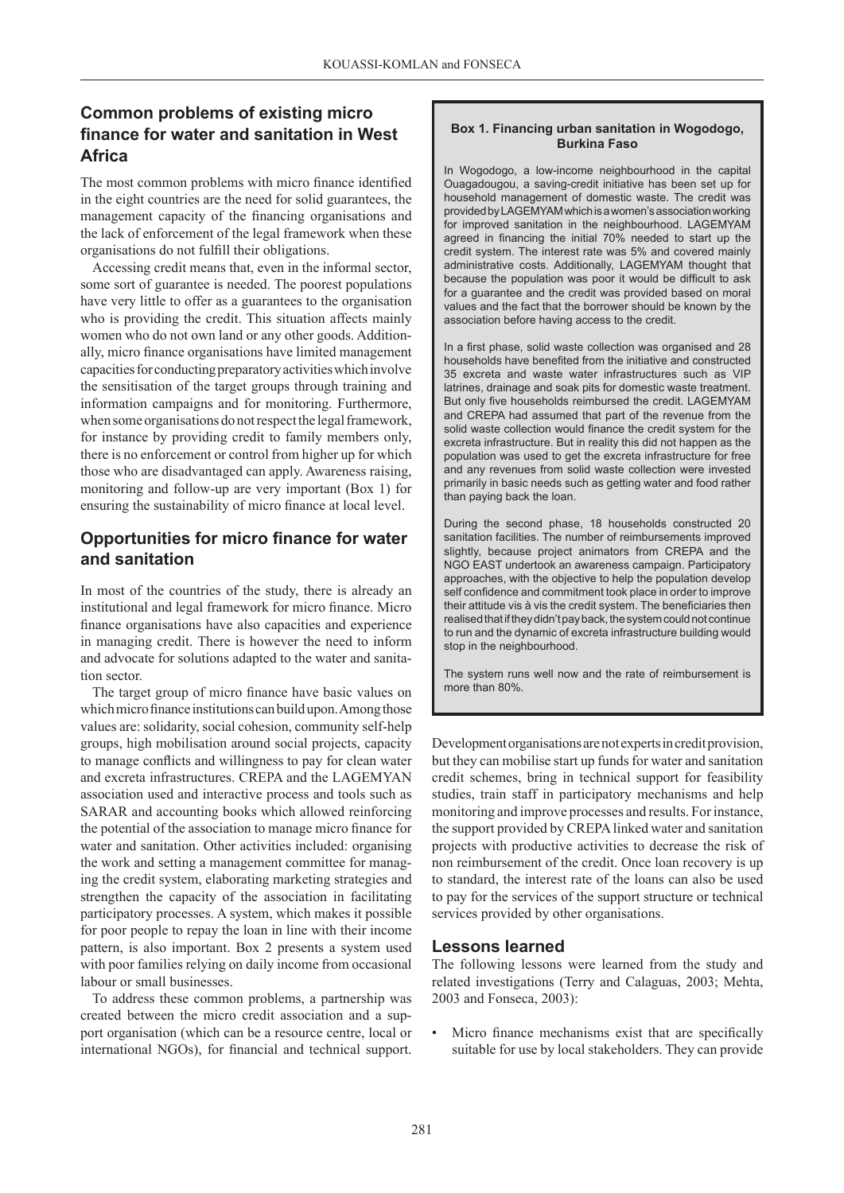## **Common problems of existing micro finance for water and sanitation in West Africa**

The most common problems with micro finance identified in the eight countries are the need for solid guarantees, the management capacity of the financing organisations and the lack of enforcement of the legal framework when these organisations do not fulfill their obligations.

Accessing credit means that, even in the informal sector, some sort of guarantee is needed. The poorest populations have very little to offer as a guarantees to the organisation who is providing the credit. This situation affects mainly women who do not own land or any other goods. Additionally, micro finance organisations have limited management capacities for conducting preparatory activities which involve the sensitisation of the target groups through training and information campaigns and for monitoring. Furthermore, when some organisations do not respect the legal framework, for instance by providing credit to family members only, there is no enforcement or control from higher up for which those who are disadvantaged can apply. Awareness raising, monitoring and follow-up are very important (Box 1) for ensuring the sustainability of micro finance at local level.

## **Opportunities for micro finance for water and sanitation**

In most of the countries of the study, there is already an institutional and legal framework for micro finance. Micro finance organisations have also capacities and experience in managing credit. There is however the need to inform and advocate for solutions adapted to the water and sanitation sector.

The target group of micro finance have basic values on which micro finance institutions can build upon. Among those values are: solidarity, social cohesion, community self-help groups, high mobilisation around social projects, capacity to manage conflicts and willingness to pay for clean water and excreta infrastructures. CREPA and the LAGEMYAN association used and interactive process and tools such as SARAR and accounting books which allowed reinforcing the potential of the association to manage micro finance for water and sanitation. Other activities included: organising the work and setting a management committee for managing the credit system, elaborating marketing strategies and strengthen the capacity of the association in facilitating participatory processes. A system, which makes it possible for poor people to repay the loan in line with their income pattern, is also important. Box 2 presents a system used with poor families relying on daily income from occasional labour or small businesses.

To address these common problems, a partnership was created between the micro credit association and a support organisation (which can be a resource centre, local or international NGOs), for financial and technical support.

### **Box 1. Financing urban sanitation in Wogodogo, Burkina Faso**

In Wogodogo, a low-income neighbourhood in the capital Ouagadougou, a saving-credit initiative has been set up for household management of domestic waste. The credit was provided by LAGEMYAM which is a women's association working for improved sanitation in the neighbourhood. LAGEMYAM agreed in financing the initial 70% needed to start up the credit system. The interest rate was 5% and covered mainly administrative costs. Additionally, LAGEMYAM thought that because the population was poor it would be difficult to ask for a guarantee and the credit was provided based on moral values and the fact that the borrower should be known by the association before having access to the credit.

In a first phase, solid waste collection was organised and 28 households have benefited from the initiative and constructed 35 excreta and waste water infrastructures such as VIP latrines, drainage and soak pits for domestic waste treatment. But only five households reimbursed the credit. LAGEMYAM and CREPA had assumed that part of the revenue from the solid waste collection would finance the credit system for the excreta infrastructure. But in reality this did not happen as the population was used to get the excreta infrastructure for free and any revenues from solid waste collection were invested primarily in basic needs such as getting water and food rather than paying back the loan.

During the second phase, 18 households constructed 20 sanitation facilities. The number of reimbursements improved slightly, because project animators from CREPA and the NGO EAST undertook an awareness campaign. Participatory approaches, with the objective to help the population develop self confidence and commitment took place in order to improve their attitude vis à vis the credit system. The beneficiaries then realised that if they didn't pay back, the system could not continue to run and the dynamic of excreta infrastructure building would stop in the neighbourhood.

The system runs well now and the rate of reimbursement is more than 80%.

Development organisations are not experts in credit provision, but they can mobilise start up funds for water and sanitation credit schemes, bring in technical support for feasibility studies, train staff in participatory mechanisms and help monitoring and improve processes and results. For instance, the support provided by CREPA linked water and sanitation projects with productive activities to decrease the risk of non reimbursement of the credit. Once loan recovery is up to standard, the interest rate of the loans can also be used to pay for the services of the support structure or technical services provided by other organisations.

## **Lessons learned**

The following lessons were learned from the study and related investigations (Terry and Calaguas, 2003; Mehta, 2003 and Fonseca, 2003):

Micro finance mechanisms exist that are specifically suitable for use by local stakeholders. They can provide